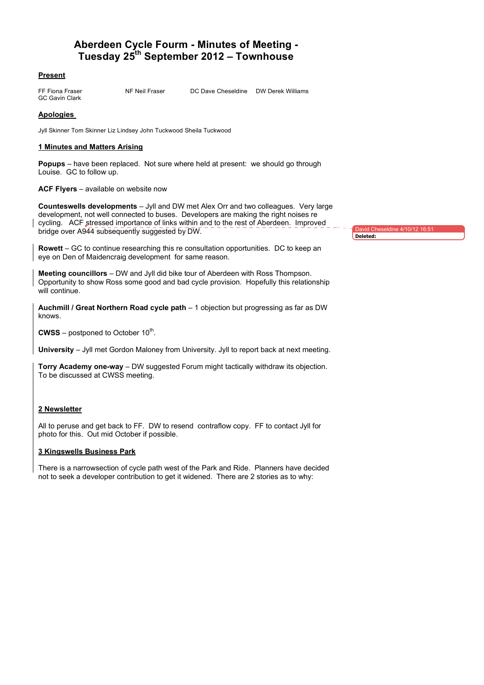# **Aberdeen Cycle Fourm - Minutes of Meeting - Tuesday 25th September 2012 – Townhouse**

## **Present**

GC Gavin Clark

FF Fiona Fraser NF Neil Fraser DC Dave Cheseldine DW Derek Williams

# **Apologies**

Jyll Skinner Tom Skinner Liz Lindsey John Tuckwood Sheila Tuckwood

## **1 Minutes and Matters Arising**

**Popups** – have been replaced. Not sure where held at present: we should go through Louise. GC to follow up.

#### **ACF Flyers** – available on website now

**Counteswells developments** – Jyll and DW met Alex Orr and two colleagues. Very large development, not well connected to buses. Developers are making the right noises re cycling. ACF stressed importance of links within and to the rest of Aberdeen. Improved bridge over A944 subsequently suggested by DW.

**Rowett** – GC to continue researching this re consultation opportunities. DC to keep an eye on Den of Maidencraig development for same reason.

**Meeting councillors** – DW and Jyll did bike tour of Aberdeen with Ross Thompson. Opportunity to show Ross some good and bad cycle provision. Hopefully this relationship will continue.

**Auchmill / Great Northern Road cycle path** – 1 objection but progressing as far as DW knows.

**CWSS** – postponed to October 10<sup>th</sup>.

**University** – Jyll met Gordon Maloney from University. Jyll to report back at next meeting.

**Torry Academy one-way** – DW suggested Forum might tactically withdraw its objection. To be discussed at CWSS meeting.

#### **2 Newsletter**

All to peruse and get back to FF. DW to resend contraflow copy. FF to contact Jyll for photo for this. Out mid October if possible.

#### **3 Kingswells Business Park**

There is a narrowsection of cycle path west of the Park and Ride. Planners have decided not to seek a developer contribution to get it widened. There are 2 stories as to why:

David Cheseldine 4/10/12 16:51 **Deleted:**